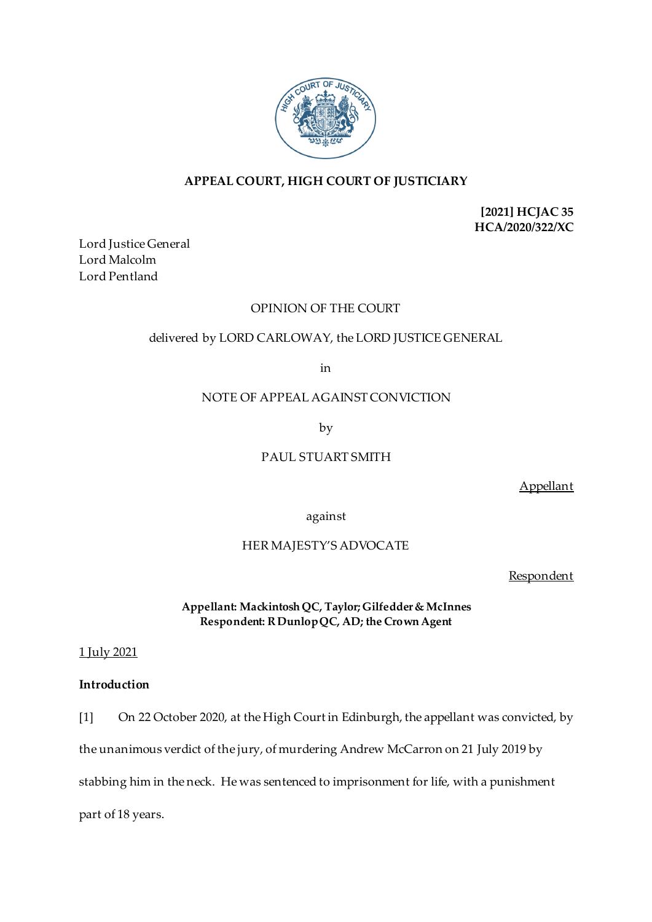

# **APPEAL COURT, HIGH COURT OF JUSTICIARY**

**[2021] HCJAC 35 HCA/2020/322/XC**

Lord Justice General Lord Malcolm Lord Pentland

# OPINION OF THE COURT

# delivered by LORD CARLOWAY, the LORD JUSTICE GENERAL

in

## NOTE OF APPEAL AGAINST CONVICTION

by

# PAUL STUART SMITH

Appellant

against

# HER MAJESTY'S ADVOCATE

Respondent

**Appellant: Mackintosh QC, Taylor; Gilfedder & McInnes Respondent: R DunlopQC, AD; the Crown Agent**

1 July 2021

# **Introduction**

[1] On 22 October 2020, at the High Court in Edinburgh, the appellant was convicted, by

the unanimous verdict of the jury, of murdering Andrew McCarron on 21 July 2019 by

stabbing him in the neck. He was sentenced to imprisonment for life, with a punishment

part of 18 years.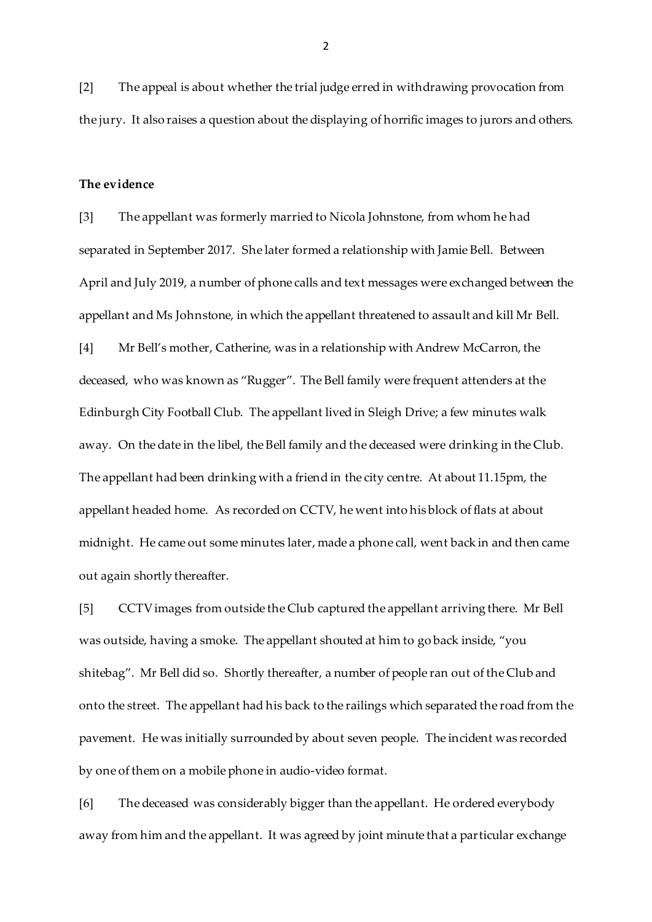[2] The appeal is about whether the trial judge erred in withdrawing provocation from the jury. It also raises a question about the displaying of horrific images to jurors and others.

#### **The evidence**

[3] The appellant was formerly married to Nicola Johnstone, from whom he had separated in September 2017. She later formed a relationship with Jamie Bell. Between April and July 2019, a number of phone calls and text messages were exchanged between the appellant and Ms Johnstone, in which the appellant threatened to assault and kill Mr Bell. [4] Mr Bell's mother, Catherine, was in a relationship with Andrew McCarron, the deceased, who was known as "Rugger". The Bell family were frequent attenders at the Edinburgh City Football Club. The appellant lived in Sleigh Drive; a few minutes walk away. On the date in the libel, the Bell family and the deceased were drinking in the Club. The appellant had been drinking with a friend in the city centre. At about 11.15pm, the appellant headed home. As recorded on CCTV, he went into his block of flats at about midnight. He came out some minutes later, made a phone call, went back in and then came out again shortly thereafter.

[5] CCTV images from outside the Club captured the appellant arriving there. Mr Bell was outside, having a smoke. The appellant shouted at him to go back inside, "you shitebag". Mr Bell did so. Shortly thereafter, a number of people ran out of the Club and onto the street. The appellant had his back to the railings which separated the road from the pavement. He was initially surrounded by about seven people. The incident was recorded by one of them on a mobile phone in audio-video format.

[6] The deceased was considerably bigger than the appellant. He ordered everybody away from him and the appellant. It was agreed by joint minute that a particular exchange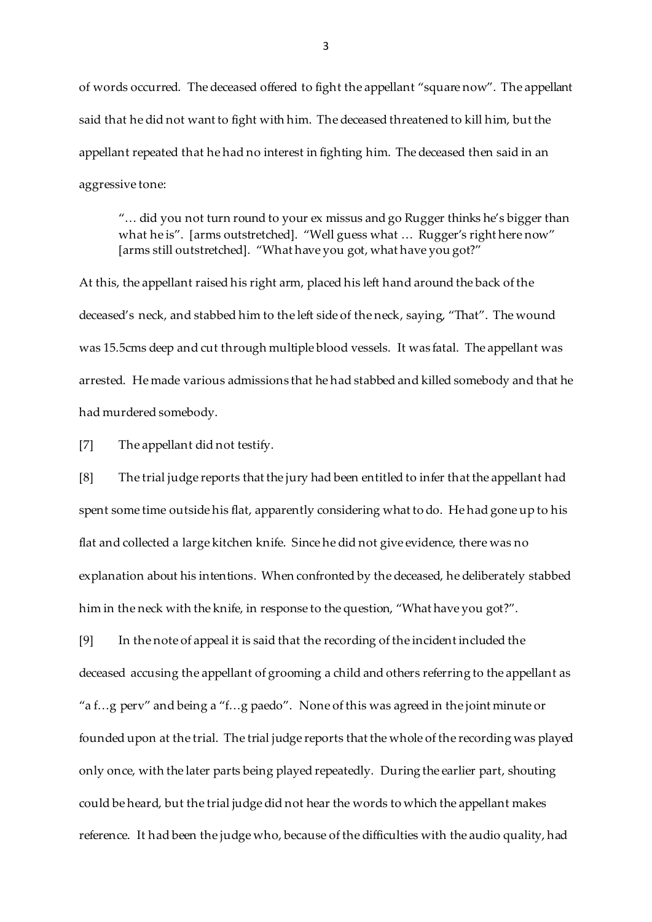of words occurred. The deceased offered to fight the appellant "square now". The appellant said that he did not want to fight with him. The deceased threatened to kill him, but the appellant repeated that he had no interest in fighting him. The deceased then said in an aggressive tone:

"… did you not turn round to your ex missus and go Rugger thinks he's bigger than what he is". [arms outstretched]. "Well guess what ... Rugger's right here now" [arms still outstretched]. "What have you got, what have you got?"

At this, the appellant raised his right arm, placed his left hand around the back of the deceased's neck, and stabbed him to the left side of the neck, saying, "That". The wound was 15.5cms deep and cut through multiple blood vessels. It was fatal. The appellant was arrested. He made various admissions that he had stabbed and killed somebody and that he had murdered somebody.

[7] The appellant did not testify.

[8] The trial judge reports that the jury had been entitled to infer that the appellant had spent some time outside his flat, apparently considering what to do. He had gone up to his flat and collected a large kitchen knife. Since he did not give evidence, there was no explanation about his intentions. When confronted by the deceased, he deliberately stabbed him in the neck with the knife, in response to the question, "What have you got?".

[9] In the note of appeal it is said that the recording of the incident included the deceased accusing the appellant of grooming a child and others referring to the appellant as "a f…g perv" and being a "f…g paedo". None of this was agreed in the joint minute or founded upon at the trial. The trial judge reports that the whole of the recording was played only once, with the later parts being played repeatedly. During the earlier part, shouting could be heard, but the trial judge did not hear the words to which the appellant makes reference. It had been the judge who, because of the difficulties with the audio quality, had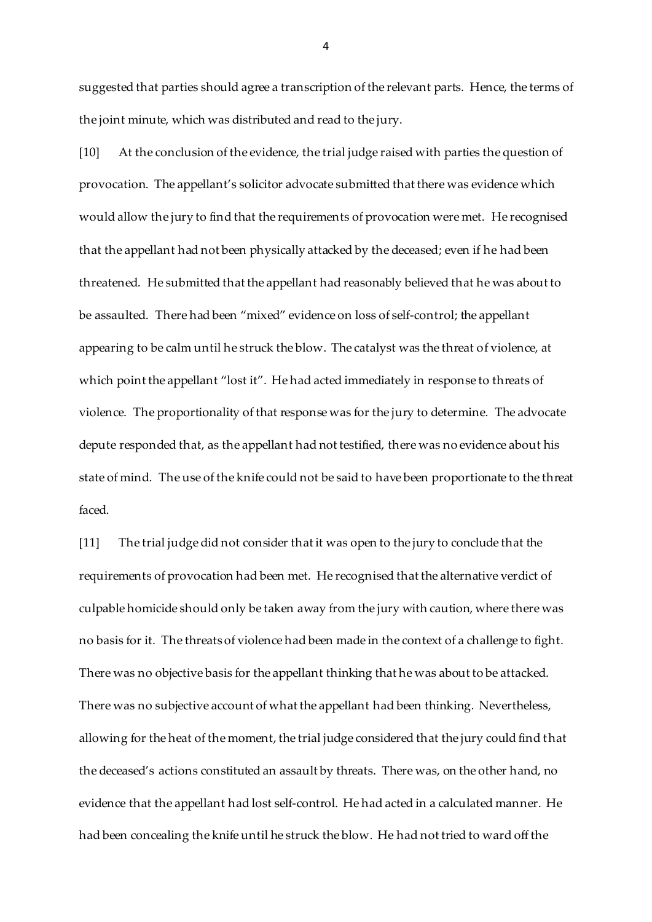suggested that parties should agree a transcription of the relevant parts. Hence, the terms of the joint minute, which was distributed and read to the jury.

[10] At the conclusion of the evidence, the trial judge raised with parties the question of provocation. The appellant's solicitor advocate submitted that there was evidence which would allow the jury to find that the requirements of provocation were met. He recognised that the appellant had not been physically attacked by the deceased; even if he had been threatened. He submitted that the appellant had reasonably believed that he was about to be assaulted. There had been "mixed" evidence on loss of self-control; the appellant appearing to be calm until he struck the blow. The catalyst was the threat of violence, at which point the appellant "lost it". He had acted immediately in response to threats of violence. The proportionality of that response was for the jury to determine. The advocate depute responded that, as the appellant had not testified, there was no evidence about his state of mind. The use of the knife could not be said to have been proportionate to the threat faced.

[11] The trial judge did not consider that it was open to the jury to conclude that the requirements of provocation had been met. He recognised that the alternative verdict of culpable homicide should only be taken away from the jury with caution, where there was no basis for it. The threats of violence had been made in the context of a challenge to fight. There was no objective basis for the appellant thinking that he was about to be attacked. There was no subjective account of what the appellant had been thinking. Nevertheless, allowing for the heat of the moment, the trial judge considered that the jury could find that the deceased's actions constituted an assault by threats. There was, on the other hand, no evidence that the appellant had lost self-control. He had acted in a calculated manner. He had been concealing the knife until he struck the blow. He had not tried to ward off the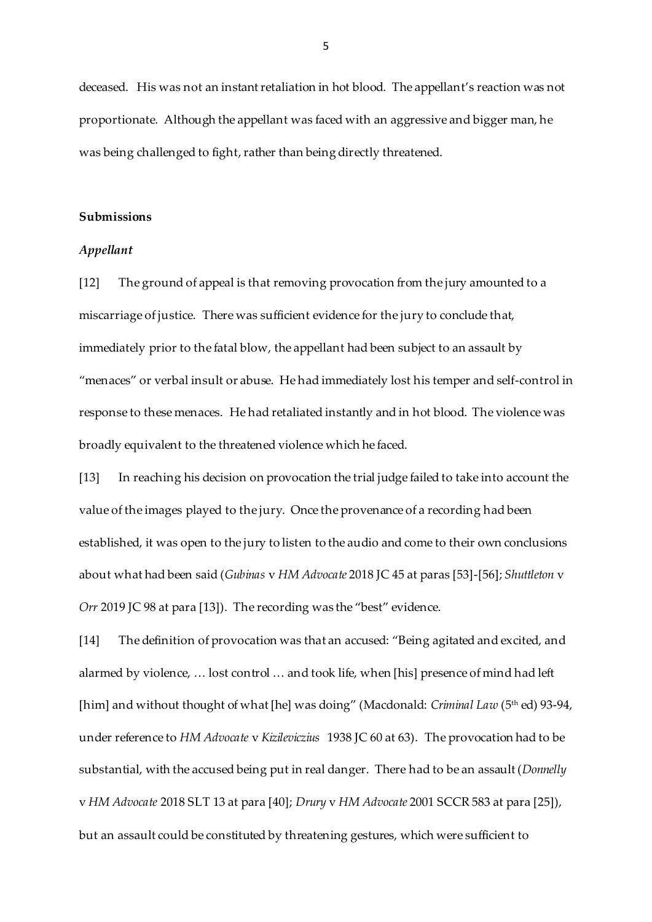deceased. His was not an instant retaliation in hot blood. The appellant's reaction was not proportionate. Although the appellant was faced with an aggressive and bigger man, he was being challenged to fight, rather than being directly threatened.

## **Submissions**

## *Appellant*

[12] The ground of appeal is that removing provocation from the jury amounted to a miscarriage of justice. There was sufficient evidence for the jury to conclude that, immediately prior to the fatal blow, the appellant had been subject to an assault by "menaces" or verbal insult or abuse. He had immediately lost his temper and self-control in response to these menaces. He had retaliated instantly and in hot blood. The violence was broadly equivalent to the threatened violence which he faced.

[13] In reaching his decision on provocation the trial judge failed to take into account the value of the images played to the jury. Once the provenance of a recording had been established, it was open to the jury to listen to the audio and come to their own conclusions about what had been said (*Gubinas* v *HM Advocate* 2018 JC 45 at paras [53]-[56]; *Shuttleton* v *Orr* 2019 JC 98 at para [13]). The recording was the "best" evidence.

[14] The definition of provocation was that an accused: "Being agitated and excited, and alarmed by violence, … lost control … and took life, when [his] presence of mind had left [him] and without thought of what [he] was doing" (Macdonald: *Criminal Law* (5<sup>th</sup> ed) 93-94, under reference to *HM Advocate* v *Kizileviczius* 1938 JC 60 at 63). The provocation had to be substantial, with the accused being put in real danger. There had to be an assault (*Donnelly*  v *HM Advocate* 2018 SLT 13 at para [40]; *Drury* v *HM Advocate* 2001 SCCR 583 at para [25]), but an assault could be constituted by threatening gestures, which were sufficient to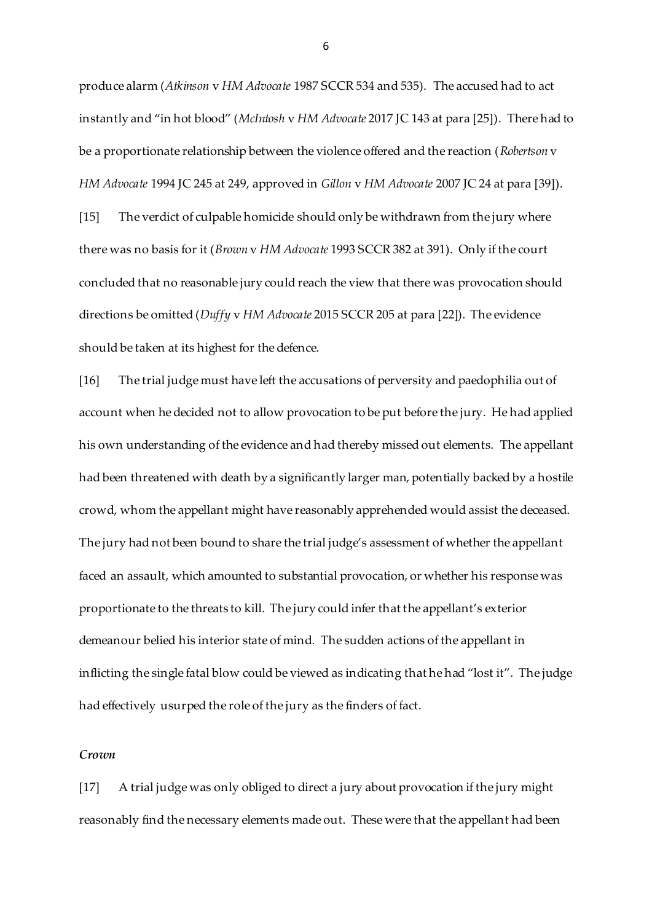produce alarm (*Atkinson* v *HM Advocate* 1987 SCCR 534 and 535). The accused had to act instantly and "in hot blood" (*McIntosh* v *HM Advocate* 2017 JC 143 at para [25]). There had to be a proportionate relationship between the violence offered and the reaction (*Robertson* v *HM Advocate* 1994 JC 245 at 249, approved in *Gillon* v *HM Advocate* 2007 JC 24 at para [39]). [15] The verdict of culpable homicide should only be withdrawn from the jury where there was no basis for it (*Brown* v *HM Advocate* 1993 SCCR 382 at 391). Only if the court concluded that no reasonable jury could reach the view that there was provocation should directions be omitted (*Duffy* v *HM Advocate* 2015 SCCR 205 at para [22]). The evidence should be taken at its highest for the defence.

[16] The trial judge must have left the accusations of perversity and paedophilia out of account when he decided not to allow provocation to be put before the jury. He had applied his own understanding of the evidence and had thereby missed out elements. The appellant had been threatened with death by a significantly larger man, potentially backed by a hostile crowd, whom the appellant might have reasonably apprehended would assist the deceased. The jury had not been bound to share the trial judge's assessment of whether the appellant faced an assault, which amounted to substantial provocation, or whether his response was proportionate to the threats to kill. The jury could infer that the appellant's exterior demeanour belied his interior state of mind. The sudden actions of the appellant in inflicting the single fatal blow could be viewed as indicating that he had "lost it". The judge had effectively usurped the role of the jury as the finders of fact.

## *Crown*

[17] A trial judge was only obliged to direct a jury about provocation if the jury might reasonably find the necessary elements made out. These were that the appellant had been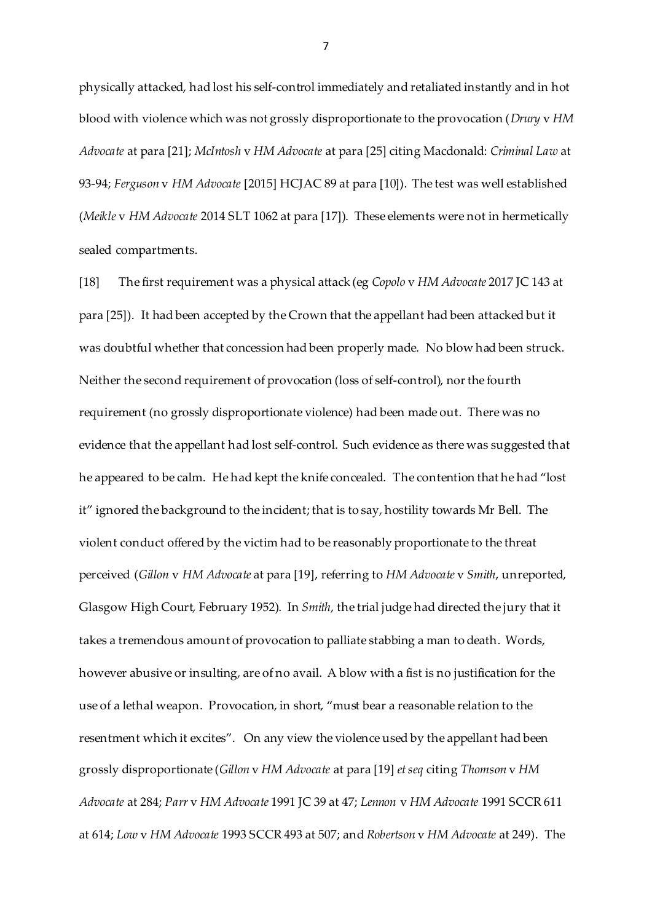physically attacked, had lost his self-control immediately and retaliated instantly and in hot blood with violence which was not grossly disproportionate to the provocation (*Drury* v *HM Advocate* at para [21]; *McIntosh* v *HM Advocate* at para [25] citing Macdonald: *Criminal Law* at 93-94; *Ferguson* v *HM Advocate* [2015] HCJAC 89 at para [10]). The test was well established (*Meikle* v *HM Advocate* 2014 SLT 1062 at para [17]). These elements were not in hermetically sealed compartments.

[18] The first requirement was a physical attack (eg *Copolo* v *HM Advocate* 2017 JC 143 at para [25]). It had been accepted by the Crown that the appellant had been attacked but it was doubtful whether that concession had been properly made. No blow had been struck. Neither the second requirement of provocation (loss of self-control), nor the fourth requirement (no grossly disproportionate violence) had been made out. There was no evidence that the appellant had lost self-control. Such evidence as there was suggested that he appeared to be calm. He had kept the knife concealed. The contention that he had "lost it" ignored the background to the incident; that is to say, hostility towards Mr Bell. The violent conduct offered by the victim had to be reasonably proportionate to the threat perceived (*Gillon* v *HM Advocate* at para [19], referring to *HM Advocate* v *Smith*, unreported, Glasgow High Court, February 1952). In *Smith*, the trial judge had directed the jury that it takes a tremendous amount of provocation to palliate stabbing a man to death. Words, however abusive or insulting, are of no avail. A blow with a fist is no justification for the use of a lethal weapon. Provocation, in short, "must bear a reasonable relation to the resentment which it excites". On any view the violence used by the appellant had been grossly disproportionate (*Gillon* v *HM Advocate* at para [19] *et seq* citing *Thomson* v *HM Advocate* at 284; *Parr* v *HM Advocate* 1991 JC 39 at 47; *Lennon* v *HM Advocate* 1991 SCCR 611 at 614; *Low* v *HM Advocate* 1993 SCCR 493 at 507; and *Robertson* v *HM Advocate* at 249). The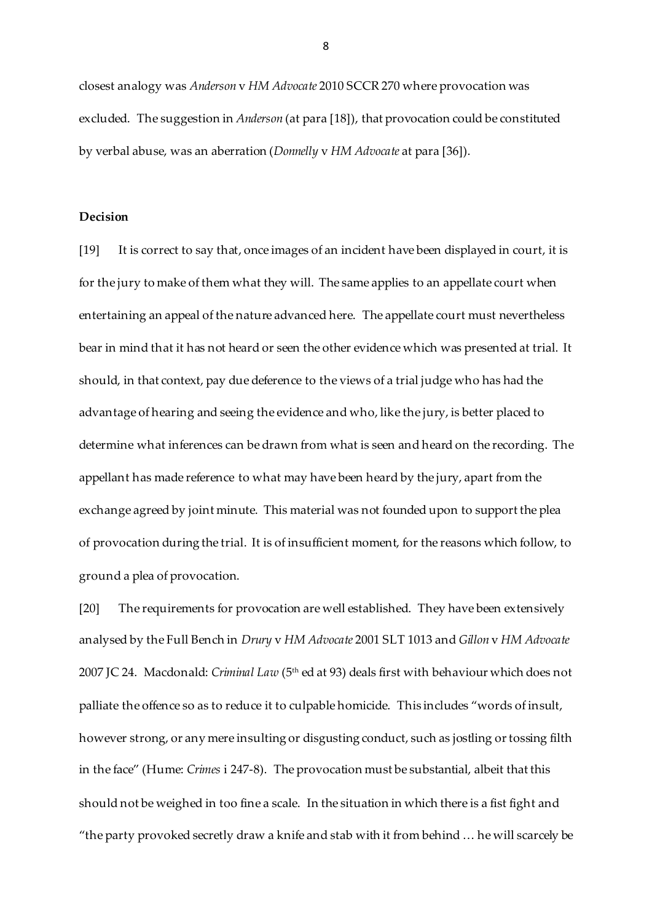closest analogy was *Anderson* v *HM Advocate* 2010 SCCR 270 where provocation was excluded. The suggestion in *Anderson* (at para [18]), that provocation could be constituted by verbal abuse, was an aberration (*Donnelly* v *HM Advocate* at para [36]).

## **Decision**

[19] It is correct to say that, once images of an incident have been displayed in court, it is for the jury to make of them what they will. The same applies to an appellate court when entertaining an appeal of the nature advanced here. The appellate court must nevertheless bear in mind that it has not heard or seen the other evidence which was presented at trial. It should, in that context, pay due deference to the views of a trial judge who has had the advantage of hearing and seeing the evidence and who, like the jury, is better placed to determine what inferences can be drawn from what is seen and heard on the recording. The appellant has made reference to what may have been heard by the jury, apart from the exchange agreed by joint minute. This material was not founded upon to support the plea of provocation during the trial. It is of insufficient moment, for the reasons which follow, to ground a plea of provocation.

[20] The requirements for provocation are well established. They have been extensively analysed by the Full Bench in *Drury* v *HM Advocate* 2001 SLT 1013 and *Gillon* v *HM Advocate* 2007 JC 24. Macdonald: *Criminal Law* (5th ed at 93) deals first with behaviour which does not palliate the offence so as to reduce it to culpable homicide. This includes "words of insult, however strong, or any mere insulting or disgusting conduct, such as jostling or tossing filth in the face" (Hume: *Crimes* i 247-8). The provocation must be substantial, albeit that this should not be weighed in too fine a scale. In the situation in which there is a fist fight and "the party provoked secretly draw a knife and stab with it from behind … he will scarcely be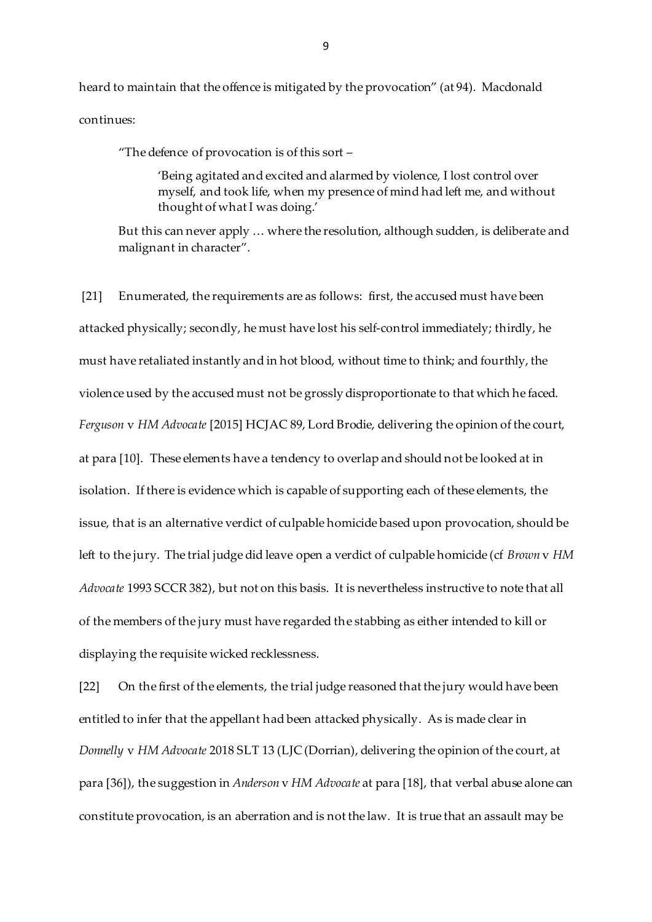heard to maintain that the offence is mitigated by the provocation" (at 94). Macdonald continues:

"The defence of provocation is of this sort –

'Being agitated and excited and alarmed by violence, I lost control over myself, and took life, when my presence of mind had left me, and without thought of what I was doing.'

But this can never apply … where the resolution, although sudden, is deliberate and malignant in character".

[21] Enumerated, the requirements are as follows: first, the accused must have been attacked physically; secondly, he must have lost his self-control immediately; thirdly, he must have retaliated instantly and in hot blood, without time to think; and fourthly, the violence used by the accused must not be grossly disproportionate to that which he faced. *Ferguson* v *HM Advocate* [2015] HCJAC 89, Lord Brodie, delivering the opinion of the court, at para [10]. These elements have a tendency to overlap and should not be looked at in isolation. If there is evidence which is capable of supporting each of these elements, the issue, that is an alternative verdict of culpable homicide based upon provocation, should be left to the jury. The trial judge did leave open a verdict of culpable homicide (cf *Brown* v *HM Advocate* 1993 SCCR 382), but not on this basis. It is nevertheless instructive to note that all of the members of the jury must have regarded the stabbing as either intended to kill or displaying the requisite wicked recklessness.

[22] On the first of the elements, the trial judge reasoned that the jury would have been entitled to infer that the appellant had been attacked physically. As is made clear in *Donnelly* v *HM Advocate* 2018 SLT 13 (LJC (Dorrian), delivering the opinion of the court, at para [36]), the suggestion in *Anderson* v *HM Advocate* at para [18], that verbal abuse alone can constitute provocation, is an aberration and is not the law. It is true that an assault may be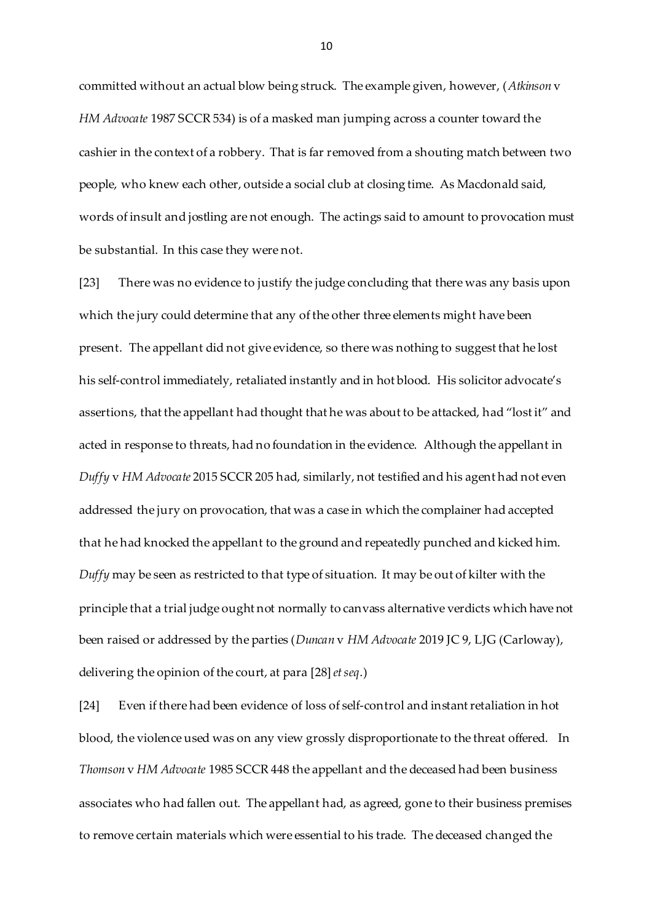committed without an actual blow being struck. The example given, however, (*Atkinson* v *HM Advocate* 1987 SCCR 534) is of a masked man jumping across a counter toward the cashier in the context of a robbery. That is far removed from a shouting match between two people, who knew each other, outside a social club at closing time. As Macdonald said, words of insult and jostling are not enough. The actings said to amount to provocation must be substantial. In this case they were not.

[23] There was no evidence to justify the judge concluding that there was any basis upon which the jury could determine that any of the other three elements might have been present. The appellant did not give evidence, so there was nothing to suggest that he lost his self-control immediately, retaliated instantly and in hot blood. His solicitor advocate's assertions, that the appellant had thought that he was about to be attacked, had "lost it" and acted in response to threats, had no foundation in the evidence. Although the appellant in *Duffy* v *HM Advocate* 2015 SCCR 205 had, similarly, not testified and his agent had not even addressed the jury on provocation, that was a case in which the complainer had accepted that he had knocked the appellant to the ground and repeatedly punched and kicked him. *Duffy* may be seen as restricted to that type of situation. It may be out of kilter with the principle that a trial judge ought not normally to canvass alternative verdicts which have not been raised or addressed by the parties (*Duncan* v *HM Advocate* 2019 JC 9, LJG (Carloway), delivering the opinion of the court, at para [28] *et seq*.)

[24] Even if there had been evidence of loss of self-control and instant retaliation in hot blood, the violence used was on any view grossly disproportionate to the threat offered. In *Thomson* v *HM Advocate* 1985 SCCR 448 the appellant and the deceased had been business associates who had fallen out. The appellant had, as agreed, gone to their business premises to remove certain materials which were essential to his trade. The deceased changed the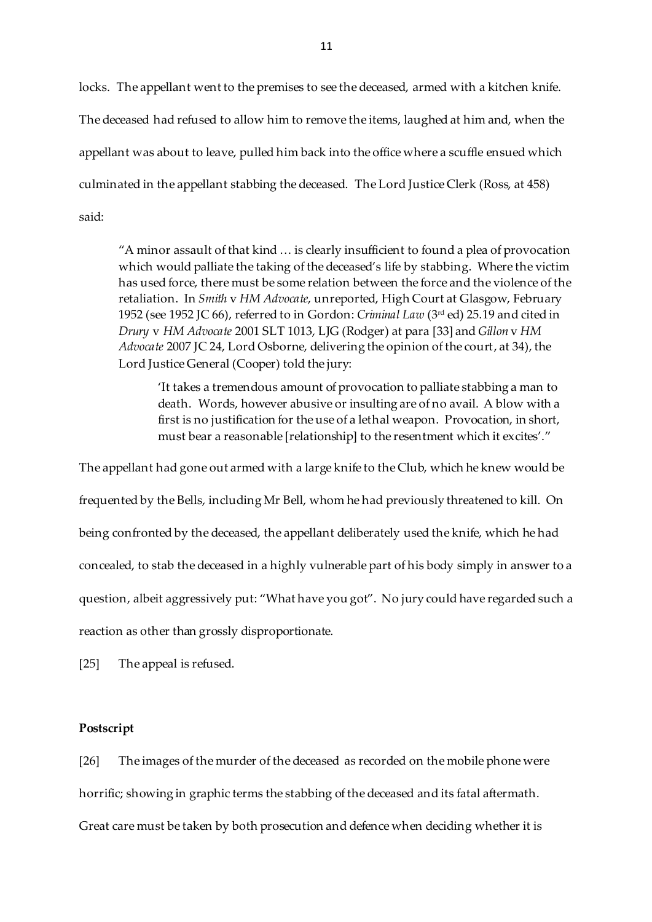locks. The appellant went to the premises to see the deceased, armed with a kitchen knife. The deceased had refused to allow him to remove the items, laughed at him and, when the appellant was about to leave, pulled him back into the office where a scuffle ensued which culminated in the appellant stabbing the deceased. The Lord Justice Clerk (Ross, at 458) said:

"A minor assault of that kind … is clearly insufficient to found a plea of provocation which would palliate the taking of the deceased's life by stabbing. Where the victim has used force, there must be some relation between the force and the violence of the retaliation. In *Smith* v *HM Advocate*, unreported, High Court at Glasgow, February 1952 (see 1952 JC 66), referred to in Gordon: *Criminal Law* (3rd ed) 25.19 and cited in *Drury* v *HM Advocate* 2001 SLT 1013, LJG (Rodger) at para [33] and *Gillon* v *HM Advocate* 2007 JC 24, Lord Osborne, delivering the opinion of the court, at 34), the Lord Justice General (Cooper) told the jury:

'It takes a tremendous amount of provocation to palliate stabbing a man to death. Words, however abusive or insulting are of no avail. A blow with a first is no justification for the use of a lethal weapon. Provocation, in short, must bear a reasonable [relationship] to the resentment which it excites'."

The appellant had gone out armed with a large knife to the Club, which he knew would be frequented by the Bells, including Mr Bell, whom he had previously threatened to kill. On being confronted by the deceased, the appellant deliberately used the knife, which he had concealed, to stab the deceased in a highly vulnerable part of his body simply in answer to a question, albeit aggressively put: "What have you got". No jury could have regarded such a reaction as other than grossly disproportionate.

[25] The appeal is refused.

## **Postscript**

[26] The images of the murder of the deceased as recorded on the mobile phone were horrific; showing in graphic terms the stabbing of the deceased and its fatal aftermath. Great care must be taken by both prosecution and defence when deciding whether it is